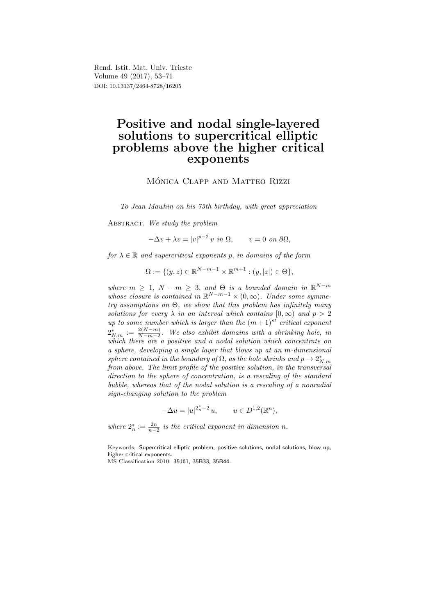Rend. Istit. Mat. Univ. Trieste Volume 49 (2017), 53–71 DOI: 10.13137/2464-8728/16205

# Positive and nodal single-layered solutions to supercritical elliptic problems above the higher critical exponents

MÓNICA CLAPP AND MATTEO RIZZI

To Jean Mawhin on his 75th birthday, with great appreciation

ABSTRACT. We study the problem

 $-\Delta v + \lambda v = |v|^{p-2} v \text{ in } \Omega, \qquad v = 0 \text{ on } \partial \Omega,$ 

for  $\lambda \in \mathbb{R}$  and supercritical exponents p, in domains of the form

 $\Omega := \{ (y, z) \in \mathbb{R}^{N-m-1} \times \mathbb{R}^{m+1} : (y, |z|) \in \Theta \},\$ 

where  $m \geq 1$ ,  $N - m \geq 3$ , and  $\Theta$  is a bounded domain in  $\mathbb{R}^{N-m}$ whose closure is contained in  $\mathbb{R}^{N-m-1} \times (0,\infty)$ . Under some symmetry assumptions on  $\Theta$ , we show that this problem has infinitely many solutions for every  $\lambda$  in an interval which contains  $[0, \infty)$  and  $p > 2$ up to some number which is larger than the  $(m+1)^{st}$  critical exponent  $2_{N,m}^* := \frac{2(N-m)}{N-m-2}$  $\frac{2(N-m)}{N-m-2}$ . We also exhibit domains with a shrinking hole, in which there are a positive and a nodal solution which concentrate on a sphere, developing a single layer that blows up at an m-dimensional sphere contained in the boundary of  $\Omega$ , as the hole shrinks and  $p \to 2^{\ast}_{N,m}$ from above. The limit profile of the positive solution, in the transversal direction to the sphere of concentration, is a rescaling of the standard bubble, whereas that of the nodal solution is a rescaling of a nonradial sign-changing solution to the problem

$$
-\Delta u = |u|^{2_n^* - 2} u, \qquad u \in D^{1,2}(\mathbb{R}^n),
$$

where  $2_n^* := \frac{2n}{n-2}$  is the critical exponent in dimension n.

Keywords: Supercritical elliptic problem, positive solutions, nodal solutions, blow up, higher critical exponents.

MS Classification 2010: 35J61, 35B33, 35B44.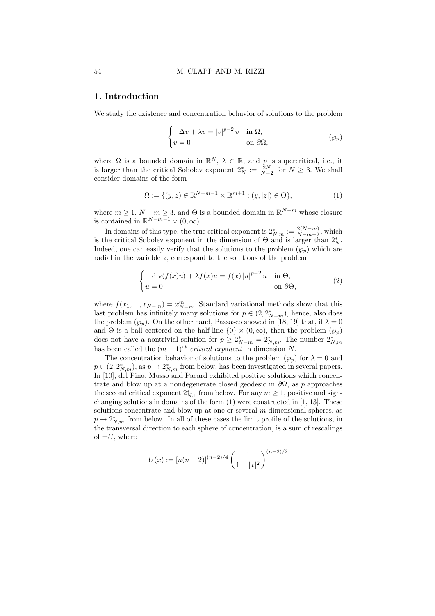### 1. Introduction

We study the existence and concentration behavior of solutions to the problem

$$
\begin{cases}\n-\Delta v + \lambda v = |v|^{p-2} v & \text{in } \Omega, \\
v = 0 & \text{on } \partial\Omega,\n\end{cases} \tag{9p}
$$

where  $\Omega$  is a bounded domain in  $\mathbb{R}^N$ ,  $\lambda \in \mathbb{R}$ , and p is supercritical, i.e., it is larger than the critical Sobolev exponent  $2_N^* := \frac{2N}{N-2}$  for  $N \geq 3$ . We shall consider domains of the form

$$
\Omega := \{ (y, z) \in \mathbb{R}^{N-m-1} \times \mathbb{R}^{m+1} : (y, |z|) \in \Theta \},
$$
\n(1)

where  $m \geq 1$ ,  $N - m \geq 3$ , and  $\Theta$  is a bounded domain in  $\mathbb{R}^{N-m}$  whose closure is contained in  $\mathbb{R}^{N-m-1} \times (0,\infty)$ .

In domains of this type, the true critical exponent is  $2^*_{N,m} := \frac{2(N-m)}{N-m-2}$  $\frac{2(N-m)}{N-m-2}$ , which is the critical Sobolev exponent in the dimension of  $\Theta$  and is larger than  $2^*_{N}$ . Indeed, one can easily verify that the solutions to the problem  $(\wp_p)$  which are radial in the variable z, correspond to the solutions of the problem

$$
\begin{cases}\n-\operatorname{div}(f(x)u) + \lambda f(x)u = f(x)|u|^{p-2}u & \text{in } \Theta, \\
u = 0 & \text{on } \partial\Theta,\n\end{cases}
$$
\n(2)

where  $f(x_1, ..., x_{N-m}) = x_{N-m}^m$ . Standard variational methods show that this last problem has infinitely many solutions for  $p \in (2, 2^*_{N-m})$ , hence, also does the problem  $(\wp_p)$ . On the other hand, Passaseo showed in [18, 19] that, if  $\lambda = 0$ and  $\Theta$  is a ball centered on the half-line  $\{0\} \times (0, \infty)$ , then the problem  $(\wp_p)$ does not have a nontrivial solution for  $p \ge 2^*_{N-m} = 2^*_{N,m}$ . The number  $2^*_{N,m}$ has been called the  $(m+1)^{st}$  critical exponent in dimension N.

The concentration behavior of solutions to the problem  $(\varphi_p)$  for  $\lambda = 0$  and  $p \in (2, 2^*_{N,m})$ , as  $p \to 2^*_{N,m}$  from below, has been investigated in several papers. In [10], del Pino, Musso and Pacard exhibited positive solutions which concentrate and blow up at a nondegenerate closed geodesic in  $\partial\Omega$ , as p approaches the second critical exponent  $2^*_{N,1}$  from below. For any  $m \geq 1$ , positive and signchanging solutions in domains of the form (1) were constructed in [1, 13]. These solutions concentrate and blow up at one or several  $m$ -dimensional spheres, as  $p \to 2^*_{N,m}$  from below. In all of these cases the limit profile of the solutions, in the transversal direction to each sphere of concentration, is a sum of rescalings of  $\pm U$ , where

$$
U(x) := [n(n-2)]^{(n-2)/4} \left(\frac{1}{1+|x|^2}\right)^{(n-2)/2}
$$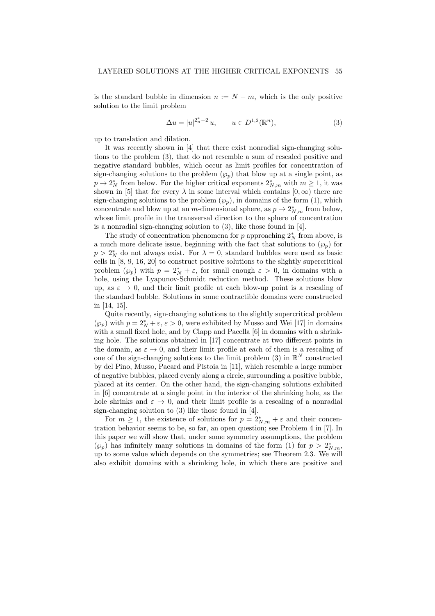is the standard bubble in dimension  $n := N - m$ , which is the only positive solution to the limit problem

$$
-\Delta u = |u|^{2_n^*-2} u, \qquad u \in D^{1,2}(\mathbb{R}^n), \tag{3}
$$

up to translation and dilation.

It was recently shown in [4] that there exist nonradial sign-changing solutions to the problem (3), that do not resemble a sum of rescaled positive and negative standard bubbles, which occur as limit profiles for concentration of sign-changing solutions to the problem  $(\wp_p)$  that blow up at a single point, as  $p \to 2^*_{N}$  from below. For the higher critical exponents  $2^*_{N,m}$  with  $m \geq 1$ , it was shown in [5] that for every  $\lambda$  in some interval which contains  $[0, \infty)$  there are sign-changing solutions to the problem  $(\varphi_p)$ , in domains of the form (1), which concentrate and blow up at an m-dimensional sphere, as  $p \to 2^*_{N,m}$  from below, whose limit profile in the transversal direction to the sphere of concentration is a nonradial sign-changing solution to (3), like those found in [4].

The study of concentration phenomena for  $p$  approaching  $2^*_{N}$  from above, is a much more delicate issue, beginning with the fact that solutions to  $(\varphi_p)$  for  $p > 2^*_{N}$  do not always exist. For  $\lambda = 0$ , standard bubbles were used as basic cells in [8, 9, 16, 20] to construct positive solutions to the slightly supercritical problem  $(\varphi_p)$  with  $p = 2^*_N + \varepsilon$ , for small enough  $\varepsilon > 0$ , in domains with a hole, using the Lyapunov-Schmidt reduction method. These solutions blow up, as  $\varepsilon \to 0$ , and their limit profile at each blow-up point is a rescaling of the standard bubble. Solutions in some contractible domains were constructed in [14, 15].

Quite recently, sign-changing solutions to the slightly supercritical problem  $(\wp_p)$  with  $p=2_N^*+\varepsilon, \, \varepsilon>0,$  were exhibited by Musso and Wei [17] in domains with a small fixed hole, and by Clapp and Pacella [6] in domains with a shrinking hole. The solutions obtained in [17] concentrate at two different points in the domain, as  $\varepsilon \to 0$ , and their limit profile at each of them is a rescaling of one of the sign-changing solutions to the limit problem (3) in  $\mathbb{R}^N$  constructed by del Pino, Musso, Pacard and Pistoia in [11], which resemble a large number of negative bubbles, placed evenly along a circle, surrounding a positive bubble, placed at its center. On the other hand, the sign-changing solutions exhibited in [6] concentrate at a single point in the interior of the shrinking hole, as the hole shrinks and  $\varepsilon \to 0$ , and their limit profile is a rescaling of a nonradial sign-changing solution to (3) like those found in [4].

For  $m \geq 1$ , the existence of solutions for  $p = 2^*_{N,m} + \varepsilon$  and their concentration behavior seems to be, so far, an open question; see Problem 4 in [7]. In this paper we will show that, under some symmetry assumptions, the problem  $(\wp_p)$  has infinitely many solutions in domains of the form (1) for  $p > 2^*_{N,m}$ , up to some value which depends on the symmetries; see Theorem 2.3. We will also exhibit domains with a shrinking hole, in which there are positive and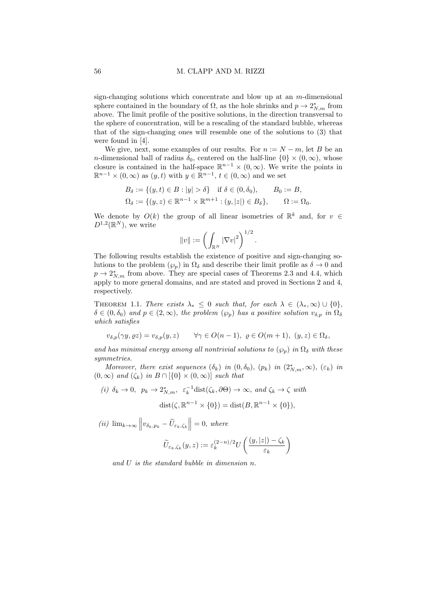sign-changing solutions which concentrate and blow up at an m-dimensional sphere contained in the boundary of  $\Omega$ , as the hole shrinks and  $p \to 2^*_{N,m}$  from above. The limit profile of the positive solutions, in the direction transversal to the sphere of concentration, will be a rescaling of the standard bubble, whereas that of the sign-changing ones will resemble one of the solutions to (3) that were found in [4].

We give, next, some examples of our results. For  $n := N - m$ , let B be an n-dimensional ball of radius  $\delta_0$ , centered on the half-line  $\{0\} \times (0, \infty)$ , whose closure is contained in the half-space  $\mathbb{R}^{n-1} \times (0, \infty)$ . We write the points in  $\mathbb{R}^{n-1} \times (0, \infty)$  as  $(y, t)$  with  $y \in \mathbb{R}^{n-1}$ ,  $t \in (0, \infty)$  and we set

$$
B_{\delta} := \{(y, t) \in B : |y| > \delta\} \text{ if } \delta \in (0, \delta_0), \qquad B_0 := B,
$$
  

$$
\Omega_{\delta} := \{(y, z) \in \mathbb{R}^{n-1} \times \mathbb{R}^{m+1} : (y, |z|) \in B_{\delta}\}, \qquad \Omega := \Omega_0.
$$

We denote by  $O(k)$  the group of all linear isometries of  $\mathbb{R}^k$  and, for  $v \in$  $D^{1,2}(\mathbb{R}^N)$ , we write

$$
||v|| := \left(\int_{\mathbb{R}^N} |\nabla v|^2\right)^{1/2}.
$$

The following results establish the existence of positive and sign-changing solutions to the problem  $(\varphi_p)$  in  $\Omega_\delta$  and describe their limit profile as  $\delta \to 0$  and  $p \to 2^*_{N,m}$  from above. They are special cases of Theorems 2.3 and 4.4, which apply to more general domains, and are stated and proved in Sections 2 and 4, respectively.

THEOREM 1.1. There exists  $\lambda_* \leq 0$  such that, for each  $\lambda \in (\lambda_*, \infty) \cup \{0\},$  $\delta \in (0, \delta_0)$  and  $p \in (2, \infty)$ , the problem  $(\wp_p)$  has a positive solution  $v_{\delta, p}$  in  $\Omega_{\delta}$ which satisfies

$$
v_{\delta,p}(\gamma y, \varrho z) = v_{\delta,p}(y,z) \qquad \forall \gamma \in O(n-1), \ \varrho \in O(m+1), \ (y,z) \in \Omega_{\delta},
$$

and has minimal energy among all nontrivial solutions to  $(\wp_p)$  in  $\Omega_\delta$  with these symmetries.

Moreover, there exist sequences  $(\delta_k)$  in  $(0, \delta_0)$ ,  $(p_k)$  in  $(2^*_{N,m}, \infty)$ ,  $(\varepsilon_k)$  in  $(0, \infty)$  and  $(\zeta_k)$  in  $B \cap {\{0\} \times (0, \infty)}$  such that

(i) 
$$
\delta_k \to 0
$$
,  $p_k \to 2^*_{N,m}$ ,  $\varepsilon_k^{-1}$ dist( $\zeta_k, \partial \Theta$ )  $\to \infty$ , and  $\zeta_k \to \zeta$  with  
dist( $\zeta, \mathbb{R}^{n-1} \times \{0\}$ ) = dist( $B, \mathbb{R}^{n-1} \times \{0\}$ ),

(*ii*)  $\lim_{k \to \infty} \left\| v_{\delta_k, p_k} - \widetilde{U}_{\varepsilon_k, \zeta_k} \right\| = 0$ , where

$$
\widetilde{U}_{\varepsilon_k,\zeta_k}(y,z) := \varepsilon_k^{(2-n)/2} U\left(\frac{(y,|z|)-\zeta_k}{\varepsilon_k}\right)
$$

and U is the standard bubble in dimension n.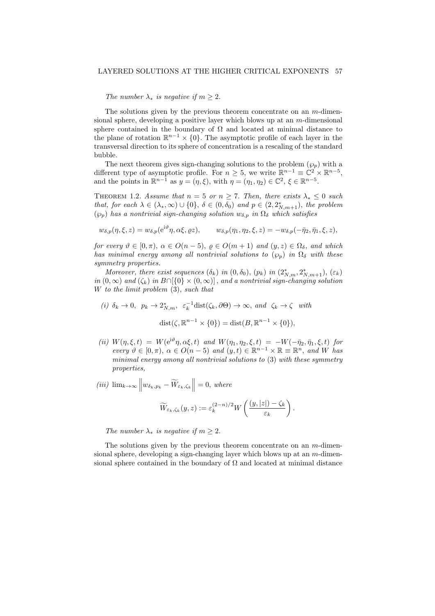### LAYERED SOLUTIONS AT THE HIGHER CRITICAL EXPONENTS 57

#### The number  $\lambda_*$  is negative if  $m \geq 2$ .

The solutions given by the previous theorem concentrate on an  $m$ -dimensional sphere, developing a positive layer which blows up at an  $m$ -dimensional sphere contained in the boundary of  $\Omega$  and located at minimal distance to the plane of rotation  $\mathbb{R}^{n-1} \times \{0\}$ . The asymptotic profile of each layer in the transversal direction to its sphere of concentration is a rescaling of the standard bubble.

The next theorem gives sign-changing solutions to the problem  $(\wp_p)$  with a different type of asymptotic profile. For  $n \geq 5$ , we write  $\mathbb{R}^{n-1} \equiv \mathbb{C}^2 \times \mathbb{R}^{n-5}$ , and the points in  $\mathbb{R}^{n-1}$  as  $y = (\eta, \xi)$ , with  $\eta = (\eta_1, \eta_2) \in \mathbb{C}^2$ ,  $\xi \in \mathbb{R}^{n-5}$ .

THEOREM 1.2. Assume that  $n = 5$  or  $n \ge 7$ . Then, there exists  $\lambda_* \le 0$  such that, for each  $\lambda \in (\lambda_*, \infty) \cup \{0\}$ ,  $\delta \in (0, \delta_0)$  and  $p \in (2, 2^*_{N, m+1})$ , the problem  $(\wp_p)$  has a nontrivial sign-changing solution  $w_{\delta,p}$  in  $\Omega_{\delta}$  which satisfies

$$
w_{\delta,p}(\eta,\xi,z) = w_{\delta,p}(\mathrm{e}^{\mathrm{i}\vartheta}\eta,\alpha\xi,\varrho z), \qquad w_{\delta,p}(\eta_1,\eta_2,\xi,z) = -w_{\delta,p}(-\bar{\eta}_2,\bar{\eta}_1,\xi,z),
$$

for every  $\vartheta \in [0, \pi)$ ,  $\alpha \in O(n-5)$ ,  $\rho \in O(m+1)$  and  $(y, z) \in \Omega_{\delta}$ , and which has minimal energy among all nontrivial solutions to  $(\varphi_p)$  in  $\Omega_\delta$  with these symmetry properties.

Moreover, there exist sequences  $(\delta_k)$  in  $(0, \delta_0)$ ,  $(p_k)$  in  $(2^*_{N,m}, 2^*_{N,m+1})$ ,  $(\varepsilon_k)$ in  $(0, \infty)$  and  $(\zeta_k)$  in  $B \cap {\{0\} \times (0, \infty)}$ , and a nontrivial sign-changing solution W to the limit problem (3), such that

(i) 
$$
\delta_k \to 0
$$
,  $p_k \to 2^*_{N,m}$ ,  $\varepsilon_k^{-1}$ dist( $\zeta_k, \partial \Theta$ )  $\to \infty$ , and  $\zeta_k \to \zeta$  with  
dist( $\zeta, \mathbb{R}^{n-1} \times \{0\}$ ) = dist( $B, \mathbb{R}^{n-1} \times \{0\}$ ),

- (ii)  $W(\eta, \xi, t) = W(e^{i\vartheta}\eta, \alpha\xi, t)$  and  $W(\eta_1, \eta_2, \xi, t) = -W(-\bar{\eta}_2, \bar{\eta}_1, \xi, t)$  for every  $\vartheta \in [0, \pi)$ ,  $\alpha \in O(n-5)$  and  $(y, t) \in \mathbb{R}^{n-1} \times \mathbb{R} \equiv \mathbb{R}^n$ , and W has minimal energy among all nontrivial solutions to (3) with these symmetry properties,
- (iii)  $\lim_{k\to\infty} \left\| w_{\delta_k, p_k} \widetilde{W}_{\varepsilon_k, \zeta_k} \right\| = 0$ , where

$$
\widetilde{W}_{\varepsilon_k,\zeta_k}(y,z) := \varepsilon_k^{(2-n)/2} W\left(\frac{(y,|z|)-\zeta_k}{\varepsilon_k}\right).
$$

The number  $\lambda_*$  is negative if  $m \geq 2$ .

The solutions given by the previous theorem concentrate on an  $m$ -dimensional sphere, developing a sign-changing layer which blows up at an m-dimensional sphere contained in the boundary of  $\Omega$  and located at minimal distance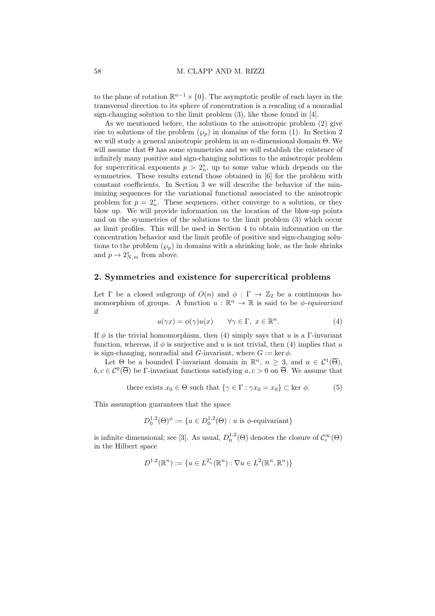to the plane of rotation  $\mathbb{R}^{n-1} \times \{0\}$ . The asymptotic profile of each layer in the transversal direction to its sphere of concentration is a rescaling of a nonradial sign-changing solution to the limit problem (3), like those found in [4].

As we mentioned before, the solutions to the anisotropic problem (2) give rise to solutions of the problem  $(\varphi_p)$  in domains of the form (1). In Section 2 we will study a general anisotropic problem in an n-dimensional domain Θ. We will assume that Θ has some symmetries and we will establish the existence of infinitely many positive and sign-changing solutions to the anisotropic problem for supercritical exponents  $p > 2<sub>n</sub><sup>*</sup>$ , up to some value which depends on the symmetries. These results extend those obtained in [6] for the problem with constant coefficients. In Section 3 we will describe the behavior of the minimizing sequences for the variational functional associated to the anisotropic problem for  $p = 2_n^*$ . These sequences, either converge to a solution, or they blow up. We will provide information on the location of the blow-up points and on the symmetries of the solutions to the limit problem (3) which occur as limit profiles. This will be used in Section 4 to obtain information on the concentration behavior and the limit profile of positive and sign-changing solutions to the problem  $(\varphi_p)$  in domains with a shrinking hole, as the hole shrinks and  $p \to 2^*_{N,m}$  from above.

# 2. Symmetries and existence for supercritical problems

Let  $\Gamma$  be a closed subgroup of  $O(n)$  and  $\phi : \Gamma \to \mathbb{Z}_2$  be a continuous homomorphism of groups. A function  $u : \mathbb{R}^n \to \mathbb{R}$  is said to be  $\phi$ -equivariant if

$$
u(\gamma x) = \phi(\gamma)u(x) \qquad \forall \gamma \in \Gamma, \ x \in \mathbb{R}^n. \tag{4}
$$

If  $\phi$  is the trivial homomorphism, then (4) simply says that u is a Γ-invariant function, whereas, if  $\phi$  is surjective and u is not trivial, then (4) implies that u is sign-changing, nonradial and G-invariant, where  $G := \text{ker } \phi$ .

Let  $\Theta$  be a bounded Γ-invariant domain in  $\mathbb{R}^n$ ,  $n \geq 3$ , and  $a \in C^1(\overline{\Theta})$ ,  $b, c \in C^0(\overline{\Theta})$  be Γ-invariant functions satisfying  $a, c > 0$  on  $\overline{\Theta}$ . We assume that

there exists 
$$
x_0 \in \Theta
$$
 such that  $\{\gamma \in \Gamma : \gamma x_0 = x_0\} \subset \text{ker } \phi$ . (5)

This assumption guarantees that the space

$$
D_0^{1,2}(\Theta)^{\phi} := \{ u \in D_0^{1,2}(\Theta) : u \text{ is } \phi \text{-equivariant} \}
$$

is infinite dimensional; see [3]. As usual,  $D_0^{1,2}(\Theta)$  denotes the closure of  $\mathcal{C}_c^{\infty}(\Theta)$ in the Hilbert space

$$
D^{1,2}(\mathbb{R}^n) := \{ u \in L^{2_n^*}(\mathbb{R}^n) : \nabla u \in L^2(\mathbb{R}^n, \mathbb{R}^n) \}
$$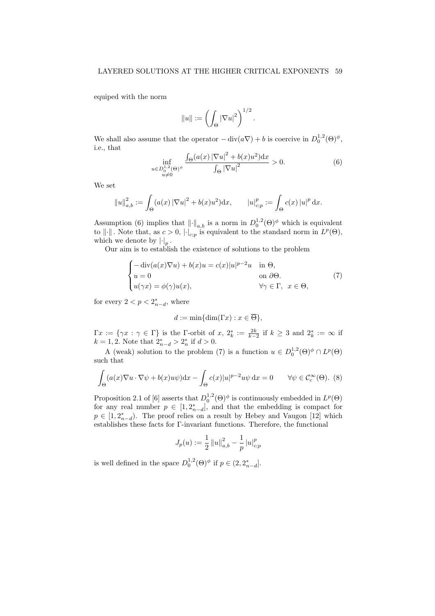equiped with the norm

$$
||u|| := \left(\int_{\Theta} |\nabla u|^2\right)^{1/2}.
$$

We shall also assume that the operator  $-\text{div}(a\nabla) + b$  is coercive in  $D_0^{1,2}(\Theta)^\phi$ , i.e., that

$$
\inf_{\substack{u \in D_0^{1,2}(\Theta)^{\phi} \\ u \neq 0}} \frac{\int_{\Theta} (a(x) \, |\nabla u|^2 + b(x) u^2) \, dx}{\int_{\Theta} |\nabla u|^2} > 0. \tag{6}
$$

We set

$$
||u||_{a,b}^2 := \int_{\Theta} (a(x) |\nabla u|^2 + b(x)u^2) dx, \qquad |u|_{c;p}^p := \int_{\Theta} c(x) |u|^p dx.
$$

Assumption (6) implies that  $\|\cdot\|_{a,b}$  is a norm in  $D_0^{1,2}(\Theta)^\phi$  which is equivalent to  $\|\cdot\|$ . Note that, as  $c > 0$ ,  $|\cdot|_{c;p}$  is equivalent to the standard norm in  $L^p(\Theta)$ , which we denote by  $\left| \cdot \right|_p$ .

Our aim is to establish the existence of solutions to the problem

$$
\begin{cases}\n-\operatorname{div}(a(x)\nabla u) + b(x)u = c(x)|u|^{p-2}u & \text{in } \Theta, \\
u = 0 & \text{on } \partial\Theta. \\
u(\gamma x) = \phi(\gamma)u(x), & \forall \gamma \in \Gamma, \ x \in \Theta,\n\end{cases} (7)
$$

for every  $2 < p < 2_{n-d}^*$ , where

$$
d := \min\{\dim(\Gamma x) : x \in \overline{\Theta}\},\
$$

 $\Gamma x := \{ \gamma x : \gamma \in \Gamma \}$  is the  $\Gamma$ -orbit of  $x, 2^*_k := \frac{2k}{k-2}$  if  $k \geq 3$  and  $2^*_k := \infty$  if  $k = 1, 2$ . Note that  $2_{n-d}^* > 2_n^*$  if  $d > 0$ .

A (weak) solution to the problem (7) is a function  $u \in D_0^{1,2}(\Theta)^{\phi} \cap L^p(\Theta)$ such that

$$
\int_{\Theta} (a(x)\nabla u \cdot \nabla \psi + b(x)u\psi)dx - \int_{\Theta} c(x)|u|^{p-2}u\psi dx = 0 \qquad \forall \psi \in \mathcal{C}_c^{\infty}(\Theta). \tag{8}
$$

Proposition 2.1 of [6] asserts that  $D_0^{1,2}(\Theta)^\phi$  is continuously embedded in  $L^p(\Theta)$ for any real number  $p \in [1, 2^*_{n-d}]$ , and that the embedding is compact for  $p \in [1, 2_{n-d}^*).$  The proof relies on a result by Hebey and Vaugon [12] which establishes these facts for Γ-invariant functions. Therefore, the functional

$$
J_p(u) := \frac{1}{2} ||u||_{a,b}^2 - \frac{1}{p} ||u|_{c;p}^p
$$

is well defined in the space  $D_0^{1,2}(\Theta)^\phi$  if  $p \in (2, 2_{n-d}^*]$ .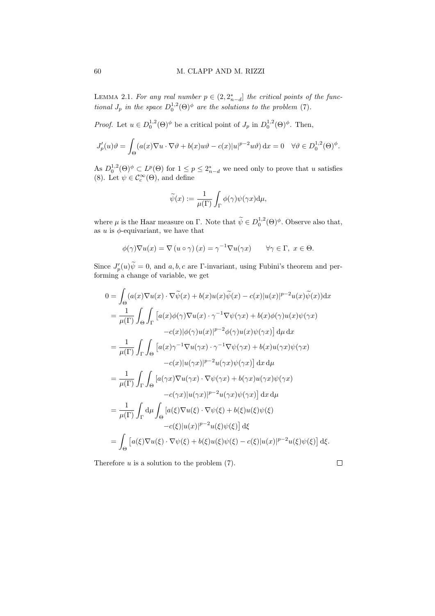LEMMA 2.1. For any real number  $p \in (2, 2^*_{n-d}]$  the critical points of the functional  $J_p$  in the space  $D_0^{1,2}(\Theta)^\phi$  are the solutions to the problem (7).

*Proof.* Let  $u \in D_0^{1,2}(\Theta)^\phi$  be a critical point of  $J_p$  in  $D_0^{1,2}(\Theta)^\phi$ . Then,

$$
J_p'(u)\vartheta = \int_{\Theta} (a(x)\nabla u \cdot \nabla \vartheta + b(x)u\vartheta - c(x)|u|^{p-2}u\vartheta) dx = 0 \quad \forall \vartheta \in D_0^{1,2}(\Theta)^{\phi}.
$$

As  $D_0^{1,2}(\Theta)^\phi \subset L^p(\Theta)$  for  $1 \leq p \leq 2_{n-d}^*$  we need only to prove that u satisfies (8). Let  $\psi \in \mathcal{C}_c^{\infty}(\Theta)$ , and define

$$
\widetilde{\psi}(x) := \frac{1}{\mu(\Gamma)} \int_{\Gamma} \phi(\gamma) \psi(\gamma x) d\mu,
$$

where  $\mu$  is the Haar measure on Γ. Note that  $\widetilde{\psi} \in D_0^{1,2}(\Theta)^{\phi}$ . Observe also that, as  $u$  is  $\phi$ -equivariant, we have that

$$
\phi(\gamma)\nabla u(x) = \nabla (u \circ \gamma)(x) = \gamma^{-1} \nabla u(\gamma x) \qquad \forall \gamma \in \Gamma, \ x \in \Theta.
$$

Since  $J'_p(u)\tilde{\psi} = 0$ , and  $a, b, c$  are  $\Gamma$ -invariant, using Fubini's theorem and performing a change of variable, we get

$$
0 = \int_{\Theta} (a(x)\nabla u(x) \cdot \nabla \widetilde{\psi}(x) + b(x)u(x)\widetilde{\psi}(x) - c(x)|u(x)|^{p-2}u(x)\widetilde{\psi}(x))dx
$$
  
\n
$$
= \frac{1}{\mu(\Gamma)} \int_{\Theta} \int_{\Gamma} [a(x)\phi(\gamma)\nabla u(x) \cdot \gamma^{-1}\nabla \psi(\gamma x) + b(x)\phi(\gamma)u(x)\psi(\gamma x) -c(x)|\phi(\gamma)u(x)|^{p-2}\phi(\gamma)u(x)\psi(\gamma x)] d\mu dx
$$
  
\n
$$
= \frac{1}{\mu(\Gamma)} \int_{\Gamma} \int_{\Theta} [a(x)\gamma^{-1}\nabla u(\gamma x) \cdot \gamma^{-1}\nabla \psi(\gamma x) + b(x)u(\gamma x)\psi(\gamma x) -c(x)|u(\gamma x)|^{p-2}u(\gamma x)\psi(\gamma x)] dx d\mu
$$
  
\n
$$
= \frac{1}{\mu(\Gamma)} \int_{\Gamma} \int_{\Theta} [a(\gamma x)\nabla u(\gamma x) \cdot \nabla \psi(\gamma x) + b(\gamma x)u(\gamma x)\psi(\gamma x) -c(\gamma x)|u(\gamma x)|^{p-2}u(\gamma x)\psi(\gamma x)] dx d\mu
$$
  
\n
$$
= \frac{1}{\mu(\Gamma)} \int_{\Gamma} d\mu \int_{\Theta} [a(\xi)\nabla u(\xi) \cdot \nabla \psi(\xi) + b(\xi)u(\xi)\psi(\xi) -c(\xi)|u(x)|^{p-2}u(\xi)\psi(\xi)] d\xi
$$
  
\n
$$
= \int_{\Theta} [a(\xi)\nabla u(\xi) \cdot \nabla \psi(\xi) + b(\xi)u(\xi)\psi(\xi) - c(\xi)|u(x)|^{p-2}u(\xi)\psi(\xi)] d\xi.
$$

Therefore  $u$  is a solution to the problem  $(7)$ .

 $\Box$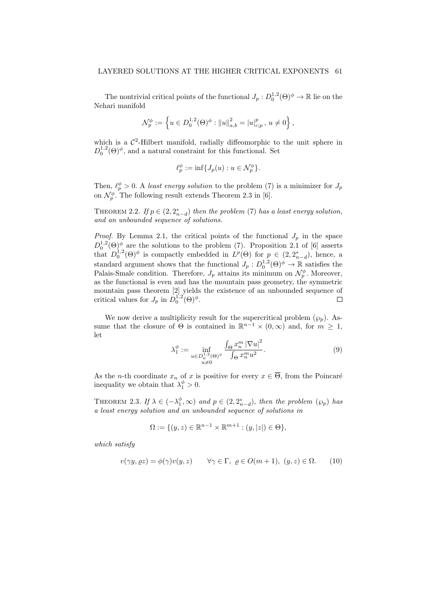The nontrivial critical points of the functional  $J_p: D_0^{1,2}(\Theta)^{\phi} \to \mathbb{R}$  lie on the Nehari manifold

$$
\mathcal{N}_p^{\phi}:=\left\{u\in D^{1,2}_0(\Theta)^{\phi}:\left\|u\right\|^2_{a,b}=\left|u\right|^p_{c;p},\, u\neq 0\right\},
$$

which is a  $\mathcal{C}^2$ -Hilbert manifold, radially diffeomorphic to the unit sphere in  $D_0^{1,2}(\Theta)^\phi$ , and a natural constraint for this functional. Set

$$
\ell_p^{\phi} := \inf \{ J_p(u) : u \in \mathcal{N}_p^{\phi} \}.
$$

Then,  $\ell_p^{\phi} > 0$ . A least energy solution to the problem (7) is a minimizer for  $J_p$ on  $\mathcal{N}_p^{\phi}$ . The following result extends Theorem 2.3 in [6].

THEOREM 2.2. If  $p \in (2, 2^*_{n-d})$  then the problem (7) has a least energy solution, and an unbounded sequence of solutions.

*Proof.* By Lemma 2.1, the critical points of the functional  $J_p$  in the space  $D_0^{1,2}(\Theta)$  are the solutions to the problem (7). Proposition 2.1 of [6] asserts that  $D_0^{1,2}(\Theta)^\phi$  is compactly embedded in  $L^p(\Theta)$  for  $p \in (2, 2_{n-d}^*)$ , hence, a standard argument shows that the functional  $J_p: D_0^{1,2}(\Theta)^{\phi} \to \mathbb{R}$  satisfies the Palais-Smale condition. Therefore,  $J_p$  attains its minimum on  $\mathcal{N}_p^{\phi}$ . Moreover, as the functional is even and has the mountain pass geometry, the symmetric mountain pass theorem [2] yields the existence of an unbounded sequence of critical values for  $J_p$  in  $\dot{D}_0^{1,2}(\Theta)^{\phi}$ .

We now derive a multiplicity result for the supercritical problem  $(\wp_n)$ . Assume that the closure of  $\Theta$  is contained in  $\mathbb{R}^{n-1} \times (0,\infty)$  and, for  $m \geq 1$ , let

$$
\lambda_1^{\phi} := \inf_{\substack{u \in D_0^{1,2}(\Theta)^{\phi} \\ u \neq 0}} \frac{\int_{\Theta} x_n^m |\nabla u|^2}{\int_{\Theta} x_n^m u^2}.
$$
\n(9)

As the *n*-th coordinate  $x_n$  of x is positive for every  $x \in \overline{\Theta}$ , from the Poincaré inequality we obtain that  $\lambda_1^{\phi} > 0$ .

THEOREM 2.3. If  $\lambda \in (-\lambda_1^{\phi}, \infty)$  and  $p \in (2, 2_{n-d}^*)$ , then the problem  $(\wp_p)$  has a least energy solution and an unbounded sequence of solutions in

$$
\Omega := \{ (y, z) \in \mathbb{R}^{n-1} \times \mathbb{R}^{m+1} : (y, |z|) \in \Theta \},
$$

which satisfy

$$
v(\gamma y, \varrho z) = \phi(\gamma)v(y, z) \qquad \forall \gamma \in \Gamma, \ \varrho \in O(m+1), \ (y, z) \in \Omega. \tag{10}
$$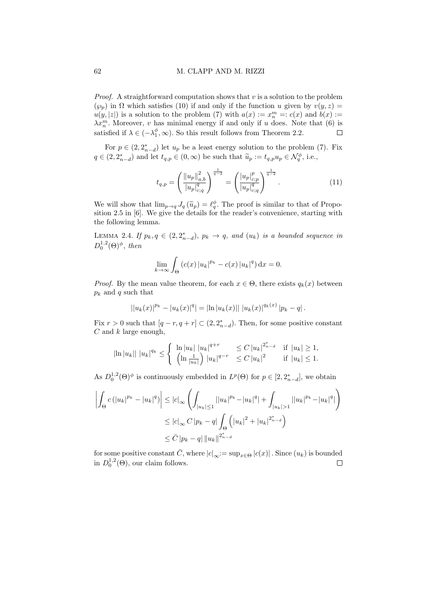*Proof.* A straightforward computation shows that  $v$  is a solution to the problem  $(\varphi_p)$  in  $\Omega$  which satisfies (10) if and only if the function u given by  $v(y, z) =$  $u(y, |z|)$  is a solution to the problem (7) with  $a(x) := x_n^m =: c(x)$  and  $b(x) :=$  $\lambda x_n^m$ . Moreover, v has minimal energy if and only if u does. Note that (6) is satisfied if  $\lambda \in (-\lambda_1^{\phi}, \infty)$ . So this result follows from Theorem 2.2.  $\Box$ 

For  $p \in (2, 2^*_{n-d})$  let  $u_p$  be a least energy solution to the problem (7). Fix  $q \in (2, 2_{n-d}^*)$  and let  $t_{q,p} \in (0, \infty)$  be such that  $\widetilde{u}_p := t_{q,p} u_p \in \mathcal{N}_q^{\phi}$ , i.e.,

$$
t_{q,p} = \left(\frac{\|u_p\|_{a,b}^2}{|u_p|_{c;q}^q}\right)^{\frac{1}{q-2}} = \left(\frac{|u_p|_{c;p}^p}{|u_p|_{c;q}^q}\right)^{\frac{1}{q-2}}.\tag{11}
$$

We will show that  $\lim_{p\to q} J_q(\tilde{u}_p) = \ell_q^{\phi}$ . The proof is similar to that of Proposition 2.5 in [6]. We give the details for the reader's convenience, starting with sition 2.5 in [6]. We give the details for the reader's convenience, starting with the following lemma.

LEMMA 2.4. If  $p_k, q \in (2, 2_{n-d}^*)$ ,  $p_k \to q$ , and  $(u_k)$  is a bounded sequence in  $D_0^{1,2}(\Theta)^\phi$ , then

$$
\lim_{k \to \infty} \int_{\Theta} \left( c(x) |u_k|^{p_k} - c(x) |u_k|^q \right) \mathrm{d}x = 0.
$$

*Proof.* By the mean value theorem, for each  $x \in \Theta$ , there exists  $q_k(x)$  between  $p_k$  and q such that

$$
||u_k(x)|^{p_k} - |u_k(x)|^q| = |\ln |u_k(x)|| \, |u_k(x)|^{q_k(x)} \, |p_k - q| \, .
$$

Fix  $r > 0$  such that  $[q - r, q + r] \subset (2, 2^{*}_{n-d})$ . Then, for some positive constant  $C$  and  $k$  large enough,

$$
|\ln |u_k|| \; |u_k|^{q_k} \leq \begin{cases} \begin{array}{c|c} \ln |u_k| \; |u_k|^{q+r} & \leq C \, |u_k|^{2^*_{n-d}} & \text{if} \; |u_k| \geq 1, \\ \begin{array}{c|c} \left(\ln \frac{1}{|u_k|}\right) |u_k|^{q-r} & \leq C \, |u_k|^2 & \text{if} \; |u_k| \leq 1. \end{array} \end{cases}
$$

As  $D_0^{1,2}(\Theta)^\phi$  is continuously embedded in  $L^p(\Theta)$  for  $p \in [2, 2_{n-d}^*]$ , we obtain

$$
\left| \int_{\Theta} c \left( |u_{k}|^{p_{k}} - |u_{k}|^{q} \right) \right| \leq |c|_{\infty} \left( \int_{|u_{k}| \leq 1} ||u_{k}|^{p_{k}} - |u_{k}|^{q} + \int_{|u_{k}| > 1} ||u_{k}|^{p_{k}} - |u_{k}|^{q} \right)
$$
  

$$
\leq |c|_{\infty} C |p_{k} - q| \int_{\Theta} \left( |u_{k}|^{2} + |u_{k}|^{2^{*}_{n} - d} \right)
$$
  

$$
\leq \bar{C} |p_{k} - q| ||u_{k}||^{2^{*}_{n} - d}
$$

for some positive constant  $\bar{C}$ , where  $|c|_{\infty}:= \sup_{x\in \Theta}|c(x)|$ . Since  $(u_k)$  is bounded in  $D_0^{1,2}(\Theta)$ , our claim follows.  $\Box$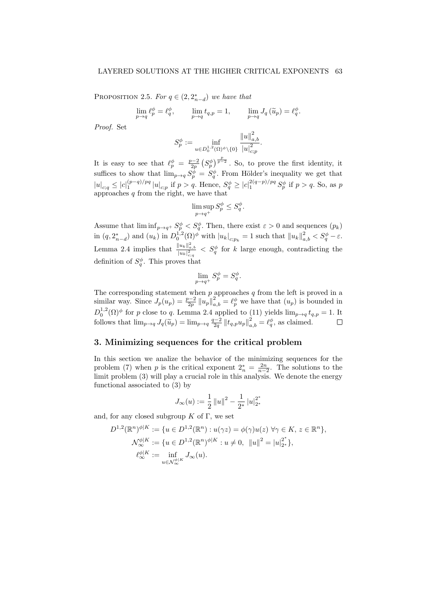PROPOSITION 2.5. For  $q \in (2, 2_{n-d}^*)$  we have that

$$
\lim_{p \to q} \ell_p^{\phi} = \ell_q^{\phi}, \qquad \lim_{p \to q} t_{q,p} = 1, \qquad \lim_{p \to q} J_q(\widetilde{u}_p) = \ell_q^{\phi}.
$$

Proof. Set

$$
S_p^\phi := \inf_{u \in D_0^{1,2}(\Omega)^\phi \backslash \{0\}} \frac{\|u\|_{a,b}^2}{|u|_{c;p}^2}.
$$

It is easy to see that  $\ell_p^{\phi} = \frac{p-2}{2p} \left( S_p^{\phi} \right)^{\frac{p}{p-2}}$ . So, to prove the first identity, it suffices to show that  $\lim_{p\to q} S_p^{\phi} = S_q^{\phi}$ . From Hölder's inequality we get that  $|u|_{c;q} \leq |c|_1^{(p-q)/pq} |u|_{c;p}$  if  $p > q$ . Hence,  $S_q^{\phi} \geq |c|_1^{2(q-p)/pq} S_p^{\phi}$  if  $p > q$ . So, as p approaches  $q$  from the right, we have that

$$
\limsup_{p \to q^+} S_p^{\phi} \leq S_q^{\phi}.
$$

Assume that  $\liminf_{p\to q^+} S_p^{\phi} < S_q^{\phi}$ . Then, there exist  $\varepsilon > 0$  and sequences  $(p_k)$ in  $(q, 2_{n-d}^*)$  and  $(u_k)$  in  $D_0^{1,2}(\Omega)^\phi$  with  $|u_k|_{c;p_k} = 1$  such that  $||u_k||_{a,b}^2 < S_q^\phi - \varepsilon$ . Lemma 2.4 implies that  $\frac{||u_k||_{a,b}^2}{|u_k|_{c,q}^2} < S_q^{\phi}$  for k large enough, contradicting the definition of  $S_q^{\phi}$ . This proves that

$$
\lim_{p \to q^+} S_p^{\phi} = S_q^{\phi}.
$$

The corresponding statement when  $p$  approaches  $q$  from the left is proved in a similar way. Since  $J_p(u_p) = \frac{p-2}{2p} ||u_p||_{a,b}^2 = \ell_p^{\phi}$  we have that  $(u_p)$  is bounded in  $D_0^{1,2}(\Omega)^\phi$  for p close to q. Lemma 2.4 applied to (11) yields  $\lim_{p\to q} t_{q,p} = 1$ . It follows that  $\lim_{p\to q} J_q(\tilde{u}_p) = \lim_{p\to q} \frac{q-2}{2q} || t_{q,p} u_p ||^2_{a,b} = \ell_q^{\phi}$ , as claimed.

# 3. Minimizing sequences for the critical problem

In this section we analize the behavior of the minimizing sequences for the problem (7) when p is the critical exponent  $2_n^* = \frac{2n}{n-2}$ . The solutions to the limit problem (3) will play a crucial role in this analysis. We denote the energy functional associated to (3) by

$$
J_{\infty}(u) := \frac{1}{2} ||u||^2 - \frac{1}{2^*} ||u||_{2^*}^2
$$

and, for any closed subgroup  $K$  of  $\Gamma$ , we set

$$
D^{1,2}(\mathbb{R}^n)^{\phi|K} := \{ u \in D^{1,2}(\mathbb{R}^n) : u(\gamma z) = \phi(\gamma)u(z) \,\,\forall \gamma \in K, \, z \in \mathbb{R}^n \},
$$
  

$$
\mathcal{N}_{\infty}^{\phi|K} := \{ u \in D^{1,2}(\mathbb{R}^n)^{\phi|K} : u \neq 0, \, \|u\|^2 = |u|_{2^*}^{2^*} \},
$$
  

$$
\ell_{\infty}^{\phi|K} := \inf_{u \in \mathcal{N}_{\infty}^{\phi|K}} J_{\infty}(u).
$$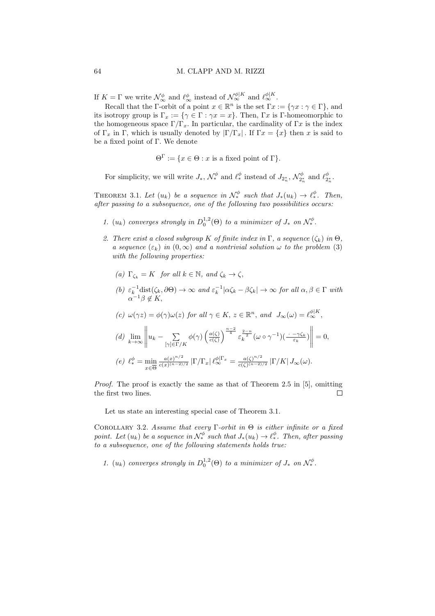If  $K = \Gamma$  we write  $\mathcal{N}_{\infty}^{\phi}$  and  $\ell_{\infty}^{\phi}$  instead of  $\mathcal{N}_{\infty}^{\phi|K}$  and  $\ell_{\infty}^{\phi|K}$ .

Recall that the Γ-orbit of a point  $x \in \mathbb{R}^n$  is the set  $\Gamma x := \{ \gamma x : \gamma \in \Gamma \}$ , and its isotropy group is  $\Gamma_x := \{ \gamma \in \Gamma : \gamma x = x \}.$  Then,  $\Gamma x$  is  $\Gamma$ -homeomorphic to the homogeneous space  $\Gamma/\Gamma_x$ . In particular, the cardinality of  $\Gamma x$  is the index of  $\Gamma_x$  in Γ, which is usually denoted by  $|\Gamma/\Gamma_x|$ . If  $\Gamma_x = \{x\}$  then x is said to be a fixed point of Γ. We denote

 $\Theta^{\Gamma} := \{x \in \Theta : x \text{ is a fixed point of } \Gamma\}.$ 

For simplicity, we will write  $J_*$ ,  $\mathcal{N}^{\phi}_*$  and  $\ell^{\phi}_*$  instead of  $J_{2^*_n}$ ,  $\mathcal{N}^{\phi}_{2^*_n}$  and  $\ell^{\phi}_{2^*_n}$ .

THEOREM 3.1. Let  $(u_k)$  be a sequence in  $\mathcal{N}_*^{\phi}$  such that  $J_*(u_k) \to \ell_*^{\phi}$ . Then, after passing to a subsequence, one of the following two possibilities occurs:

- 1.  $(u_k)$  converges strongly in  $D_0^{1,2}(\Theta)$  to a minimizer of  $J_*$  on  $\mathcal{N}^{\phi}_*$ .
- 2. There exist a closed subgroup K of finite index in  $\Gamma$ , a sequence  $(\zeta_k)$  in  $\Theta$ , a sequence  $(\varepsilon_k)$  in  $(0,\infty)$  and a nontrivial solution  $\omega$  to the problem (3) with the following properties:
	- (a)  $\Gamma_{\zeta_k} = K$  for all  $k \in \mathbb{N}$ , and  $\zeta_k \to \zeta$ ,
	- (b)  $\varepsilon_k^{-1}$ dist $(\zeta_k, \partial \Theta) \to \infty$  and  $\varepsilon_k^{-1} |\alpha \zeta_k \beta \zeta_k| \to \infty$  for all  $\alpha, \beta \in \Gamma$  with  $\alpha^{-1}\beta \notin K$ ,

$$
(c) \ \omega(\gamma z) = \phi(\gamma)\omega(z) \text{ for all } \gamma \in K, \ z \in \mathbb{R}^n, \text{ and } J_{\infty}(\omega) = \ell_{\infty}^{\phi|K},
$$
  

$$
(d) \ \lim_{k \to \infty} \left\| u_k - \sum_{[\gamma] \in \Gamma/K} \phi(\gamma) \left( \frac{a(\zeta)}{c(\zeta)} \right)^{\frac{n-2}{4}} \varepsilon_k^{\frac{2-n}{2}} (\omega \circ \gamma^{-1}) \left( \frac{\cdot - \gamma \zeta_k}{\varepsilon_k} \right) \right\| = 0,
$$
  

$$
(e) \ \ell_*^{\phi} = \min_{\zeta \in \overline{\Omega}} \frac{a(x)^{n/2}}{c(x)^{(n-2)/2}} \left| \Gamma / \Gamma_x \right| \ell_{\infty}^{\phi|\Gamma_x} = \frac{a(\zeta)^{n/2}}{c(\zeta)^{(n-2)/2}} \left| \Gamma / K \right| J_{\infty}(\omega).
$$

 $\Box$ 

(e)  $\ell_*^{\phi} = \min_{x \in \overline{\Theta}}$ Proof. The proof is exactly the same as that of Theorem 2.5 in [5], omitting

Let us state an interesting special case of Theorem 3.1.

the first two lines.

COROLLARY 3.2. Assume that every  $\Gamma$ -orbit in  $\Theta$  is either infinite or a fixed point. Let  $(u_k)$  be a sequence in  $\mathcal{N}^{\phi}_*$  such that  $J_*(u_k) \to \ell^{\phi}_*$ . Then, after passing to a subsequence, one of the following statements holds true:

1.  $(u_k)$  converges strongly in  $D_0^{1,2}(\Theta)$  to a minimizer of  $J_*$  on  $\mathcal{N}^{\phi}_*$ .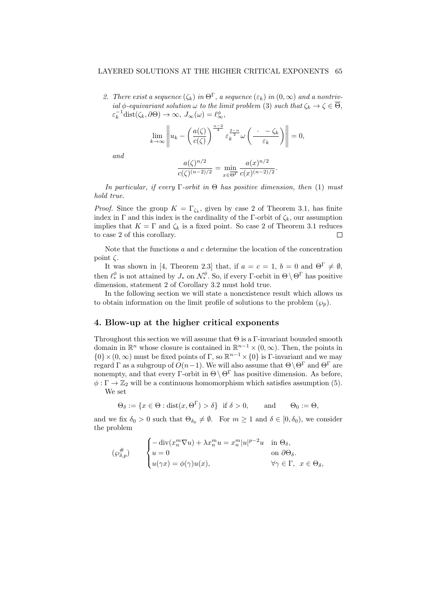### LAYERED SOLUTIONS AT THE HIGHER CRITICAL EXPONENTS 65

2. There exist a sequence  $(\zeta_k)$  in  $\Theta^{\Gamma}$ , a sequence  $(\varepsilon_k)$  in  $(0,\infty)$  and a nontrivial  $\phi$ -equivariant solution  $\omega$  to the limit problem (3) such that  $\zeta_k \to \zeta \in \overline{\Theta}$ ,  $\varepsilon_k^{-1}$ dist $(\zeta_k, \partial \Theta) \to \infty$ ,  $J_\infty(\omega) = \ell_\infty^{\phi}$ ,

$$
\lim_{k \to \infty} \left\| u_k - \left( \frac{a(\zeta)}{c(\zeta)} \right)^{\frac{n-2}{4}} \varepsilon_k^{\frac{2-n}{2}} \omega \left( \frac{\cdot - \zeta_k}{\varepsilon_k} \right) \right\| = 0,
$$

and

$$
\frac{a(\zeta)^{n/2}}{c(\zeta)^{(n-2)/2}} = \min_{x \in \overline{\Theta^{\Gamma}}} \frac{a(x)^{n/2}}{c(x)^{(n-2)/2}}.
$$

In particular, if every  $\Gamma$ -orbit in  $\Theta$  has positive dimension, then (1) must hold true.

*Proof.* Since the group  $K = \Gamma_{\zeta_k}$ , given by case 2 of Theorem 3.1, has finite index in Γ and this index is the cardinality of the Γ-orbit of  $\zeta_k$ , our assumption implies that  $K = \Gamma$  and  $\zeta_k$  is a fixed point. So case 2 of Theorem 3.1 reduces to case 2 of this corollary.  $\Box$ 

Note that the functions  $a$  and  $c$  determine the location of the concentration point  $\zeta$ .

It was shown in [4, Theorem 2.3] that, if  $a = c = 1$ ,  $b = 0$  and  $\Theta^{\Gamma} \neq \emptyset$ , then  $\ell_*^{\phi}$  is not attained by  $J_*$  on  $\mathcal{N}^{\phi}_*$ . So, if every Γ-orbit in  $\Theta \setminus \Theta^{\Gamma}$  has positive dimension, statement 2 of Corollary 3.2 must hold true.

In the following section we will state a nonexistence result which allows us to obtain information on the limit profile of solutions to the problem  $(\varphi_p)$ .

# 4. Blow-up at the higher critical exponents

Throughout this section we will assume that  $\Theta$  is a  $\Gamma$ -invariant bounded smooth domain in  $\mathbb{R}^n$  whose closure is contained in  $\mathbb{R}^{n-1} \times (0, \infty)$ . Then, the points in  $\{0\} \times (0, \infty)$  must be fixed points of Γ, so  $\mathbb{R}^{n-1} \times \{0\}$  is Γ-invariant and we may regard  $\Gamma$  as a subgroup of  $O(n-1)$ . We will also assume that  $\Theta \setminus \Theta^{\Gamma}$  and  $\Theta^{\Gamma}$  are nonempty, and that every Γ-orbit in  $\Theta \setminus \Theta^{\Gamma}$  has positive dimension. As before,  $\phi : \Gamma \to \mathbb{Z}_2$  will be a continuous homomorphism which satisfies assumption (5).

We set

$$
\Theta_{\delta} := \{ x \in \Theta : \text{dist}(x, \Theta^{\Gamma}) > \delta \} \text{ if } \delta > 0, \quad \text{and} \quad \Theta_0 := \Theta,
$$

and we fix  $\delta_0 > 0$  such that  $\Theta_{\delta_0} \neq \emptyset$ . For  $m \geq 1$  and  $\delta \in [0, \delta_0)$ , we consider the problem

$$
(\wp_{\delta,p}^{\#}) \qquad \begin{cases} -\operatorname{div}(x_n^m \nabla u) + \lambda x_n^m u = x_n^m |u|^{p-2} u & \text{in } \Theta_{\delta}, \\ u = 0 & \text{on } \partial \Theta_{\delta}. \\ u(\gamma x) = \phi(\gamma) u(x), & \forall \gamma \in \Gamma, \ x \in \Theta_{\delta}, \end{cases}
$$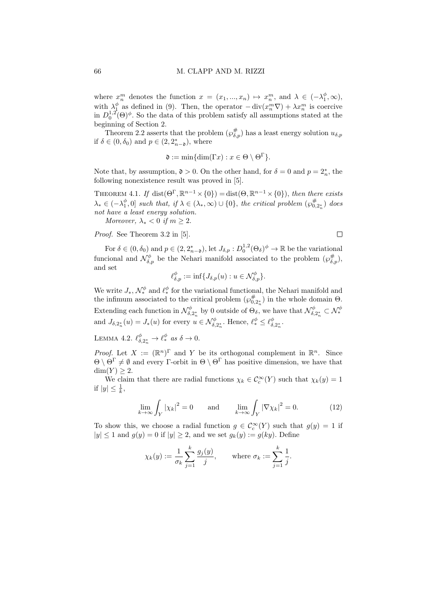where  $x_n^m$  denotes the function  $x = (x_1, ..., x_n) \mapsto x_n^m$ , and  $\lambda \in (-\lambda_1^{\phi}, \infty)$ , with  $\lambda_1^{\phi}$  as defined in (9). Then, the operator  $-\operatorname{div}(x_n^m \nabla) + \lambda x_n^m$  is coercive in  $D_0^{1,2}(\Theta)^\phi$ . So the data of this problem satisfy all assumptions stated at the beginning of Section 2.

Theorem 2.2 asserts that the problem  $(\wp_{\delta,p}^{\#})$  has a least energy solution  $u_{\delta,p}$ if  $\delta \in (0, \delta_0)$  and  $p \in (2, 2_{n-\mathfrak{d}}^*)$ , where

$$
\mathfrak{d} := \min\{\dim(\Gamma x) : x \in \Theta \setminus \Theta^{\Gamma}\}.
$$

Note that, by assumption,  $\mathfrak{d} > 0$ . On the other hand, for  $\delta = 0$  and  $p = 2<sup>*</sup><sub>n</sub>$ , the following nonexistence result was proved in [5].

THEOREM 4.1. If dist $(\Theta^{\Gamma}, \mathbb{R}^{n-1} \times \{0\}) = \text{dist}(\Theta, \mathbb{R}^{n-1} \times \{0\})$ , then there exists  $\lambda_* \in (-\lambda_1^{\phi}, 0]$  such that, if  $\lambda \in (\lambda_*, \infty) \cup \{0\}$ , the critical problem  $(\wp_{0,2_n}^{\#})$  does not have a least energy solution.

Moreover,  $\lambda_* < 0$  if  $m \geq 2$ .

Proof. See Theorem 3.2 in [5].

For  $\delta \in (0, \delta_0)$  and  $p \in (2, 2^*_{n-2})$ , let  $J_{\delta, p}: D_0^{1,2}(\Theta_\delta)^{\phi} \to \mathbb{R}$  be the variational funcional and  $\mathcal{N}_{\delta,p}^{\phi}$  be the Nehari manifold associated to the problem  $(\wp_{\delta,p}^{\#})$ , and set

$$
\ell_{\delta,p}^{\phi} := \inf \{ J_{\delta,p}(u) : u \in \mathcal{N}_{\delta,p}^{\phi} \}.
$$

We write  $J_*$ ,  $\mathcal{N}^{\phi}_*$  and  $\ell^{\phi}_*$  for the variational functional, the Nehari manifold and the infimum associated to the critical problem  $(\wp_{0,2}^{\#})$  in the whole domain  $\Theta$ . Extending each function in  $\mathcal{N}_{\delta,2_n^*}^{\phi}$  by 0 outside of  $\Theta_{\delta}$ , we have that  $\mathcal{N}_{\delta,2_n^*}^{\phi} \subset \mathcal{N}_{*}^{\phi}$ and  $J_{\delta,2_n^*}(u) = J_*(u)$  for every  $u \in \mathcal{N}_{\delta,2_n^*}^{\phi}$ . Hence,  $\ell^{\phi}_* \leq \ell_{\delta,2_n^*}^{\phi}$ .

LEMMA 4.2.  $\ell_{\delta,2_n^*}^{\phi} \to \ell_{*}^{\phi}$  as  $\delta \to 0$ .

*Proof.* Let  $X := (\mathbb{R}^n)^{\Gamma}$  and Y be its orthogonal complement in  $\mathbb{R}^n$ . Since  $\Theta \setminus \Theta^{\Gamma} \neq \emptyset$  and every Γ-orbit in  $\Theta \setminus \Theta^{\Gamma}$  has positive dimension, we have that  $dim(Y) \geq 2$ .

We claim that there are radial functions  $\chi_k \in C_c^{\infty}(Y)$  such that  $\chi_k(y) = 1$ if  $|y| \leq \frac{1}{k}$ ,

$$
\lim_{k \to \infty} \int_Y |\chi_k|^2 = 0 \quad \text{and} \quad \lim_{k \to \infty} \int_Y |\nabla \chi_k|^2 = 0. \quad (12)
$$

To show this, we choose a radial function  $g \in \mathcal{C}_c^{\infty}(Y)$  such that  $g(y) = 1$  if  $|y| \le 1$  and  $g(y) = 0$  if  $|y| \ge 2$ , and we set  $g_k(y) := g(ky)$ . Define

$$
\chi_k(y) := \frac{1}{\sigma_k} \sum_{j=1}^k \frac{g_j(y)}{j}, \quad \text{where } \sigma_k := \sum_{j=1}^k \frac{1}{j}.
$$

 $\Box$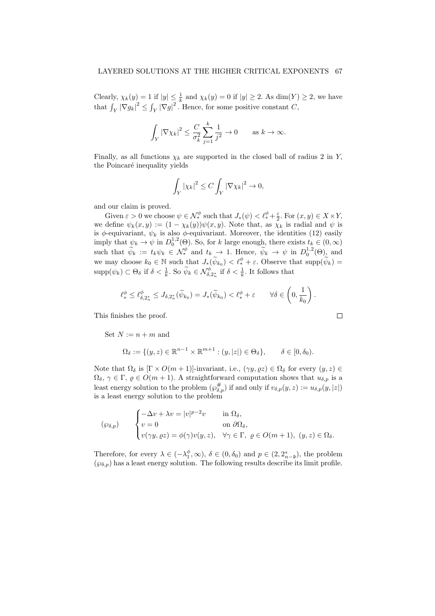Clearly,  $\chi_k(y) = 1$  if  $|y| \leq \frac{1}{k}$  and  $\chi_k(y) = 0$  if  $|y| \geq 2$ . As  $\dim(Y) \geq 2$ , we have that  $\int_Y |\nabla g_k|^2 \leq \int_Y |\nabla g|^2$ . Hence, for some positive constant C,

$$
\int_Y |\nabla \chi_k|^2 \le \frac{C}{\sigma_k^2} \sum_{j=1}^k \frac{1}{j^2} \to 0 \quad \text{as } k \to \infty.
$$

Finally, as all functions  $\chi_k$  are supported in the closed ball of radius 2 in Y, the Poincaré inequality yields

$$
\int_Y |\chi_k|^2 \le C \int_Y |\nabla \chi_k|^2 \to 0,
$$

and our claim is proved.

Given  $\varepsilon > 0$  we choose  $\psi \in \mathcal{N}_{*}^{\phi}$  such that  $J_{*}(\psi) < \ell_{*}^{\phi} + \frac{\varepsilon}{2}$ . For  $(x, y) \in X \times Y$ , we define  $\psi_k(x, y) := (1 - \chi_k(y))\psi(x, y)$ . Note that, as  $\chi_k$  is radial and  $\psi$  is is  $\phi$ -equivariant,  $\psi_k$  is also  $\phi$ -equivariant. Moreover, the identities (12) easily imply that  $\psi_k \to \psi$  in  $D_0^{1,2}(\Theta)$ . So, for k large enough, there exists  $t_k \in (0,\infty)$ such that  $\widetilde{\psi}_k := t_k \psi_k \in \mathcal{N}_{\ast}^{\phi}$  and  $t_k \to 1$ . Hence,  $\widetilde{\psi}_k \to \psi$  in  $D_0^{1,2}(\Theta)$ , and we may choose  $k_0 \in \mathbb{N}$  such that  $J_*(\widetilde{\psi}_{k_0}) < \ell^{\phi}_* + \varepsilon$ . Observe that  $\text{supp}(\widetilde{\psi}_k) =$  $\text{supp}(\psi_k) \subset \Theta_{\delta}$  if  $\delta < \frac{1}{k}$ . So  $\widetilde{\psi}_k \in \mathcal{N}_{\delta, 2_n^*}^{\phi}$  if  $\delta < \frac{1}{k}$ . It follows that

$$
\ell^{\phi}_* \leq \ell^{\phi}_{\delta,2^*_n} \leq J_{\delta,2^*_n}(\widetilde{\psi}_{k_0}) = J_*(\widetilde{\psi}_{k_0}) < \ell^{\phi}_* + \varepsilon \qquad \forall \delta \in \left(0, \frac{1}{k_0}\right).
$$

This finishes the proof.

Set  $N := n + m$  and

$$
\Omega_{\delta} := \{ (y, z) \in \mathbb{R}^{n-1} \times \mathbb{R}^{m+1} : (y, |z|) \in \Theta_{\delta} \}, \qquad \delta \in [0, \delta_0).
$$

Note that  $\Omega_{\delta}$  is  $[\Gamma \times O(m+1)]$ -invariant, i.e.,  $(\gamma y, \varrho z) \in \Omega_{\delta}$  for every  $(y, z) \in$  $\Omega_{\delta}$ ,  $\gamma \in \Gamma$ ,  $\rho \in O(m+1)$ . A straightforward computation shows that  $u_{\delta,p}$  is a least energy solution to the problem  $(\wp_{\delta,p}^{\#})$  if and only if  $v_{\delta,p}(y, z) := u_{\delta,p}(y, |z|)$ is a least energy solution to the problem

$$
(\wp_{\delta,p}) \qquad \begin{cases} -\Delta v + \lambda v = |v|^{p-2}v & \text{in } \Omega_{\delta}, \\ v = 0 & \text{on } \partial\Omega_{\delta}, \\ v(\gamma y, \varrho z) = \phi(\gamma)v(y, z), & \forall \gamma \in \Gamma, \ \varrho \in O(m+1), \ (y, z) \in \Omega_{\delta}. \end{cases}
$$

Therefore, for every  $\lambda \in (-\lambda_1^{\phi}, \infty)$ ,  $\delta \in (0, \delta_0)$  and  $p \in (2, 2_{n-2}^*)$ , the problem  $(\varphi_{\delta,p})$  has a least energy solution. The following results describe its limit profile.

$$
\Box
$$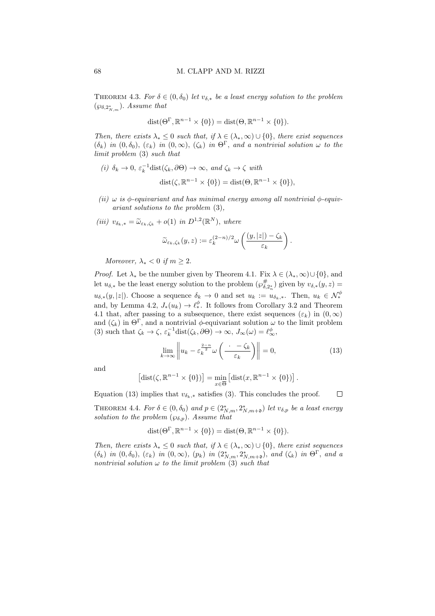THEOREM 4.3. For  $\delta \in (0, \delta_0)$  let  $v_{\delta,*}$  be a least energy solution to the problem  $(\wp_{\delta,2^*_{N,m}})$ . Assume that

$$
dist(\Theta^{\Gamma}, \mathbb{R}^{n-1} \times \{0\}) = dist(\Theta, \mathbb{R}^{n-1} \times \{0\}).
$$

Then, there exists  $\lambda_* \leq 0$  such that, if  $\lambda \in (\lambda_*, \infty) \cup \{0\}$ , there exist sequences  $(\delta_k)$  in  $(0, \delta_0)$ ,  $(\varepsilon_k)$  in  $(0, \infty)$ ,  $(\zeta_k)$  in  $\Theta^{\Gamma}$ , and a nontrivial solution  $\omega$  to the limit problem (3) such that

- (i)  $\delta_k \to 0$ ,  $\varepsilon_k^{-1}$ dist $(\zeta_k, \partial \Theta) \to \infty$ , and  $\zeta_k \to \zeta$  with  $dist(\zeta, \mathbb{R}^{n-1} \times \{0\}) = dist(\Theta, \mathbb{R}^{n-1} \times \{0\}),$
- (ii)  $\omega$  is  $\phi$ -equivariant and has minimal energy among all nontrivial  $\phi$ -equivariant solutions to the problem (3),
- (iii)  $v_{\delta_k,*} = \tilde{\omega}_{\varepsilon_k,\zeta_k} + o(1)$  in  $D^{1,2}(\mathbb{R}^N)$ , where

$$
\widetilde{\omega}_{\varepsilon_k,\zeta_k}(y,z) := \varepsilon_k^{(2-n)/2} \omega\left(\frac{(y,|z|)-\zeta_k}{\varepsilon_k}\right).
$$

Moreover,  $\lambda_* < 0$  if  $m > 2$ .

*Proof.* Let  $\lambda_*$  be the number given by Theorem 4.1. Fix  $\lambda \in (\lambda_*, \infty) \cup \{0\}$ , and let  $u_{\delta,*}$  be the least energy solution to the problem  $(\wp^{\#}_{\delta,2_n^*})$  given by  $v_{\delta,*}(y,z)$  =  $u_{\delta,*}(y,|z|)$ . Choose a sequence  $\delta_k \to 0$  and set  $u_k := u_{\delta_k,*}$ . Then,  $u_k \in \mathcal{N}_*^{\phi}$ and, by Lemma 4.2,  $J_*(u_k) \to \ell_*^{\phi}$ . It follows from Corollary 3.2 and Theorem 4.1 that, after passing to a subsequence, there exist sequences  $(\varepsilon_k)$  in  $(0,\infty)$ and  $(\zeta_k)$  in  $\Theta^{\Gamma}$ , and a nontrivial  $\phi$ -equivariant solution  $\omega$  to the limit problem (3) such that  $\zeta_k \to \zeta$ ,  $\varepsilon_k^{-1}$ dist $(\zeta_k, \partial \Theta) \to \infty$ ,  $J_\infty(\omega) = \ell_\infty^{\phi}$ ,

$$
\lim_{k \to \infty} \left\| u_k - \varepsilon_k^{\frac{2-n}{2}} \omega \left( \frac{\cdot - \zeta_k}{\varepsilon_k} \right) \right\| = 0,\tag{13}
$$

and

$$
[\text{dist}(\zeta, \mathbb{R}^{n-1} \times \{0\})] = \min_{x \in \overline{\Theta}} [\text{dist}(x, \mathbb{R}^{n-1} \times \{0\})].
$$

Equation (13) implies that  $v_{\delta_k,*}$  satisfies (3). This concludes the proof.  $\Box$ 

THEOREM 4.4. For  $\delta \in (0, \delta_0)$  and  $p \in (2^*_{N,m}, 2^*_{N,m+1})$  let  $v_{\delta,p}$  be a least energy solution to the problem  $(\wp_{\delta,p})$ . Assume that

$$
dist(\Theta^{\Gamma}, \mathbb{R}^{n-1} \times \{0\}) = dist(\Theta, \mathbb{R}^{n-1} \times \{0\}).
$$

Then, there exists  $\lambda_* \leq 0$  such that, if  $\lambda \in (\lambda_*, \infty) \cup \{0\}$ , there exist sequences  $(\delta_k)$  in  $(0, \delta_0)$ ,  $(\varepsilon_k)$  in  $(0, \infty)$ ,  $(p_k)$  in  $(2^*_{N,m}, 2^*_{N,m+1})$ , and  $(\zeta_k)$  in  $\Theta^{\Gamma}$ , and a nontrivial solution  $\omega$  to the limit problem (3) such that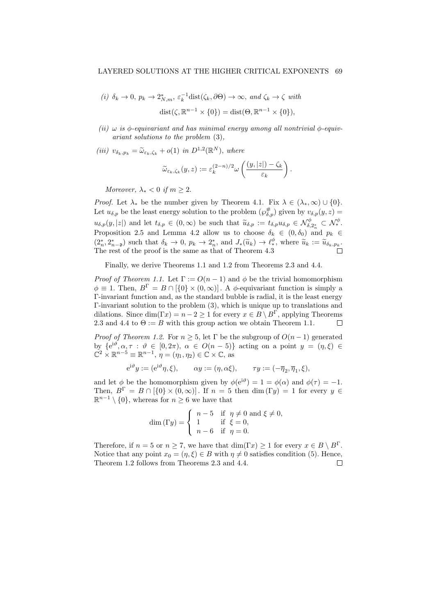(i) 
$$
\delta_k \to 0
$$
,  $p_k \to 2^*_{N,m}$ ,  $\varepsilon_k^{-1}$ dist( $\zeta_k, \partial \Theta$ )  $\to \infty$ , and  $\zeta_k \to \zeta$  with  
dist( $\zeta, \mathbb{R}^{n-1} \times \{0\}$ ) = dist( $\Theta, \mathbb{R}^{n-1} \times \{0\}$ ),

- (ii)  $\omega$  is  $\phi$ -equivariant and has minimal energy among all nontrivial  $\phi$ -equivariant solutions to the problem (3),
- (iii)  $v_{\delta_k, p_k} = \tilde{\omega}_{\varepsilon_k, \zeta_k} + o(1)$  in  $D^{1,2}(\mathbb{R}^N)$ , where

$$
\widetilde{\omega}_{\varepsilon_k,\zeta_k}(y,z) := \varepsilon_k^{(2-n)/2} \omega\left(\frac{(y,|z|)-\zeta_k}{\varepsilon_k}\right).
$$

Moreover,  $\lambda_* < 0$  if  $m > 2$ .

*Proof.* Let  $\lambda_*$  be the number given by Theorem 4.1. Fix  $\lambda \in (\lambda_*, \infty) \cup \{0\}$ . Let  $u_{\delta,p}$  be the least energy solution to the problem  $(\wp_{\delta,p}^{\#})$  given by  $v_{\delta,p}(y, z) =$  $u_{\delta,p}(y,|z|)$  and let  $t_{\delta,p} \in (0,\infty)$  be such that  $\widetilde{u}_{\delta,p} := t_{\delta,p} u_{\delta,p} \in \mathcal{N}_{\delta,2_n^*}^\phi \subset \mathcal{N}_{\delta,2_n^*}^\phi$ Proposition 2.5 and Lemma 4.2 allow us to choose  $\delta_k \in (0, \delta_0)$  and  $p_k \in$  $(2_n^*, 2_{n-0}^*)$  such that  $\delta_k \to 0$ ,  $p_k \to 2_n^*$ , and  $J_*(\widetilde{u}_k) \to \ell_*^{\phi}$ , where  $\widetilde{u}_k := \widetilde{u}_{\delta_k, p_k}$ .<br>The rest of the proof is the same as that of Theorem 4.3 The rest of the proof is the same as that of Theorem 4.3

Finally, we derive Theorems 1.1 and 1.2 from Theorems 2.3 and 4.4.

*Proof of Theorem 1.1.* Let  $\Gamma := O(n-1)$  and  $\phi$  be the trivial homomorphism  $\phi \equiv 1$ . Then,  $B^{\Gamma} = B \cap (\{0\} \times (0, \infty))$ . A  $\phi$ -equivariant function is simply a Γ-invariant function and, as the standard bubble is radial, it is the least energy Γ-invariant solution to the problem (3), which is unique up to translations and dilations. Since  $\dim(\Gamma x) = n - 2 \geq 1$  for every  $x \in B \setminus B^{\Gamma}$ , applying Theorems 2.3 and 4.4 to  $\Theta := B$  with this group action we obtain Theorem 1.1.  $\Box$ 

*Proof of Theorem 1.2.* For  $n \geq 5$ , let  $\Gamma$  be the subgroup of  $O(n-1)$  generated by  ${e^{i\vartheta}, \alpha, \tau : \vartheta \in [0, 2\pi), \alpha \in O(n-5)}$  acting on a point  $y = (\eta, \xi) \in$  $\mathbb{C}^2 \times \mathbb{R}^{n-5} \equiv \mathbb{R}^{n-1}, \eta = (\eta_1, \eta_2) \in \mathbb{C} \times \mathbb{C}, \text{ as }$ 

$$
e^{i\vartheta}y := (e^{i\vartheta}\eta, \xi), \qquad \alpha y := (\eta, \alpha \xi), \qquad \tau y := (-\overline{\eta}_2, \overline{\eta}_1, \xi),
$$

and let  $\phi$  be the homomorphism given by  $\phi(e^{i\vartheta}) = 1 = \phi(\alpha)$  and  $\phi(\tau) = -1$ . Then,  $B^{\Gamma} = B \cap [\{0\} \times (0, \infty)]$ . If  $n = 5$  then dim  $(\Gamma y) = 1$  for every  $y \in \mathbb{R}$  $\mathbb{R}^{n-1} \setminus \{0\}$ , whereas for  $n \geq 6$  we have that

$$
\dim\left(\Gamma y\right) = \begin{cases} n-5 & \text{if } \eta \neq 0 \text{ and } \xi \neq 0, \\ 1 & \text{if } \xi = 0, \\ n-6 & \text{if } \eta = 0. \end{cases}
$$

Therefore, if  $n = 5$  or  $n \ge 7$ , we have that  $\dim(\Gamma x) \ge 1$  for every  $x \in B \setminus B^{\Gamma}$ . Notice that any point  $x_0 = (\eta, \xi) \in B$  with  $\eta \neq 0$  satisfies condition (5). Hence, Theorem 1.2 follows from Theorems 2.3 and 4.4. $\Box$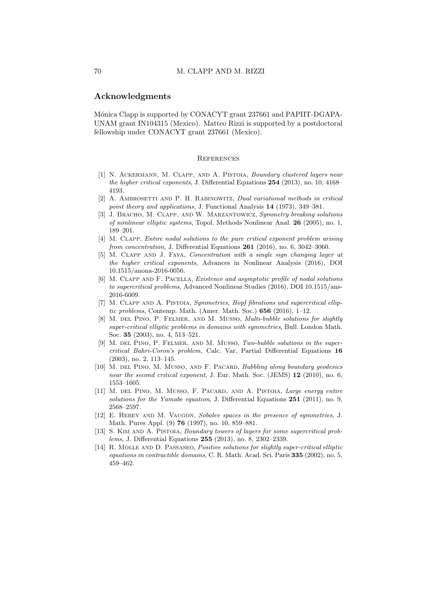# Acknowledgments

Mónica Clapp is supported by CONACYT grant 237661 and PAPIIT-DGAPA-UNAM grant IN104315 (Mexico). Matteo Rizzi is supported by a postdoctoral fellowship under CONACYT grant 237661 (Mexico).

### **REFERENCES**

- [1] N. Ackermann, M. Clapp, and A. Pistoia, Boundary clustered layers near the higher critical exponents, J. Differential Equations 254 (2013), no. 10, 4168– 4193.
- [2] A. Ambrosetti and P. H. Rabinowitz, Dual variational methods in critical point theory and applications, J. Functional Analysis 14 (1973), 349–381.
- [3] J. BRACHO, M. CLAPP, AND W. MARZANTOWICZ, Symmetry breaking solutions of nonlinear elliptic systems, Topol. Methods Nonlinear Anal. 26 (2005), no. 1, 189–201.
- [4] M. Clapp, Entire nodal solutions to the pure critical exponent problem arising from concentration, J. Differential Equations 261 (2016), no. 6, 3042–3060.
- [5] M. CLAPP AND J. FAYA, Concentration with a single sign changing layer at the higher critical exponents, Advances in Nonlinear Analysis (2016), DOI 10.1515/anona-2016-0056.
- [6] M. Clapp and F. Pacella, Existence and asymptotic profile of nodal solutions to supercritical problems, Advanced Nonlinear Studies (2016), DOI 10.1515/ans-2016-6009.
- [7] M. Clapp and A. Pistoia, Symmetries, Hopf fibrations and supercritical elliptic problems, Contemp. Math. (Amer. Math. Soc.) 656 (2016), 1–12.
- [8] M. DEL PINO, P. FELMER, AND M. MUSSO, *Multi-bubble solutions for slightly* super-critical elliptic problems in domains with symmetries, Bull. London Math. Soc. 35 (2003), no. 4, 513–521.
- [9] M. DEL PINO, P. FELMER, AND M. MUSSO, Two-bubble solutions in the supercritical Bahri-Coron's problem, Calc. Var. Partial Differential Equations 16 (2003), no. 2, 113–145.
- [10] M. DEL PINO, M. MUSSO, AND F. PACARD, Bubbling along boundary geodesics near the second critical exponent, J. Eur. Math. Soc. (JEMS) 12 (2010), no. 6, 1553–1605.
- [11] M. del Pino, M. Musso, F. Pacard, and A. Pistoia, Large energy entire solutions for the Yamabe equation, J. Differential Equations 251 (2011), no. 9, 2568–2597.
- [12] E. Hebey and M. Vaugon, Sobolev spaces in the presence of symmetries, J. Math. Pures Appl. (9) 76 (1997), no. 10, 859–881.
- [13] S. Kim and A. Pistoia, Boundary towers of layers for some supercritical problems, J. Differential Equations 255 (2013), no. 8, 2302–2339.
- [14] R. MOLLE AND D. PASSASEO, *Positive solutions for slightly super-critical elliptic* equations in contractible domains, C. R. Math. Acad. Sci. Paris 335 (2002), no. 5, 459–462.